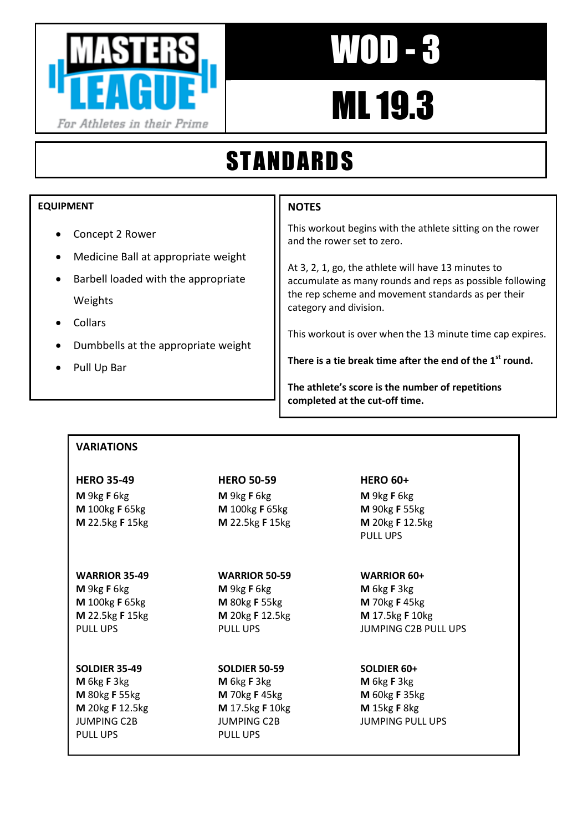

# WOD - 3

# ML 19.3

## STANDARDS

## **EQUIPMENT**

- Concept 2 Rower
- Medicine Ball at appropriate weight
- Barbell loaded with the appropriate Weights
- Collars
- Dumbbells at the appropriate weight
- Pull Up Bar

## **NOTES**

This workout begins with the athlete sitting on the rower and the rower set to zero.

At 3, 2, 1, go, the athlete will have 13 minutes to accumulate as many rounds and reps as possible following the rep scheme and movement standards as per their category and division.

This workout is over when the 13 minute time cap expires.

**There is a tie break time after the end of the 1st round.**

**The athlete's score is the number of repetitions completed at the cut-off time.**

## **VARIATIONS**

## **HERO 35-49 HERO 50-59 HERO 60+ M** 9kg **F** 6kg **M** 9kg **F** 6kg **M** 9kg **F** 6kg **M** 100kg **F** 65kg **M** 100kg **F** 65kg **M** 90kg **F** 55kg **M** 22.5kg **F** 15kg **M** 22.5kg **F** 15kg **M** 20kg **F** 12.5kg

## **WARRIOR 35-49 WARRIOR 50-59 WARRIOR 60+**

**M** 9kg **F** 6kg **M** 9kg **F** 6kg **M** 6kg **F** 3kg **M** 100kg **F** 65kg **M** 80kg **F** 55kg **M** 70kg **F** 45kg **M** 22.5kg **F** 15kg **M** 20kg **F** 12.5kg **M** 17.5kg **F** 10kg

## **SOLDIER 35-49 SOLDIER 50-59 SOLDIER 60+**

**M** 6kg **F** 3kg **M** 6kg **F** 3kg **M** 6kg **F** 3kg **M** 80kg **F** 55kg **M** 70kg **F** 45kg **M** 60kg **F** 35kg **M** 20kg **F** 12.5kg **M** 17.5kg **F** 10kg **M** 15kg **F** 8kg PULL UPS PULL UPS

PULL UPS

PULL UPS PULL PULL UPS PULL UPS JUMPING C2B PULL UPS

JUMPING C2B JUMPING C2B JUMPING PULL UPS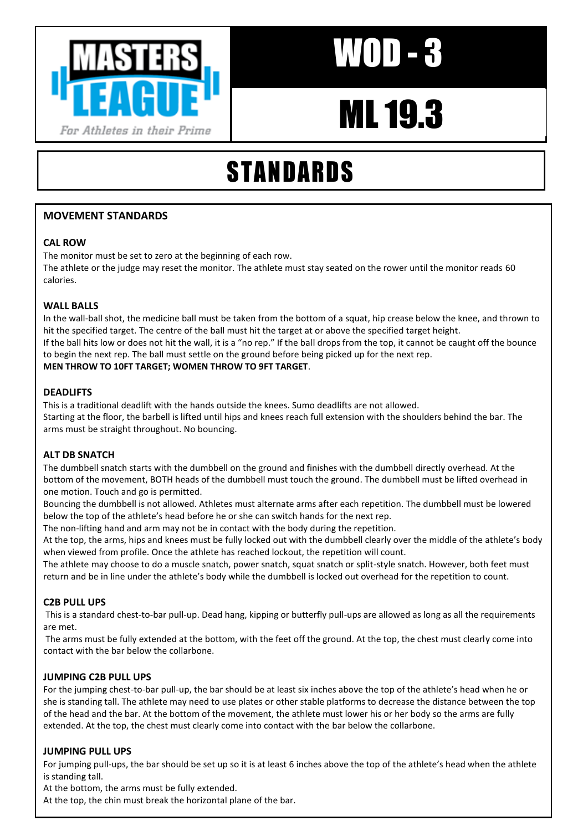

# ML 19.3

## STANDARDS

## **MOVEMENT STANDARDS**

## **CAL ROW**

The monitor must be set to zero at the beginning of each row. The athlete or the judge may reset the monitor. The athlete must stay seated on the rower until the monitor reads 60 calories.

## **WALL BALLS**

In the wall-ball shot, the medicine ball must be taken from the bottom of a squat, hip crease below the knee, and thrown to hit the specified target. The centre of the ball must hit the target at or above the specified target height. If the ball hits low or does not hit the wall, it is a "no rep." If the ball drops from the top, it cannot be caught off the bounce to begin the next rep. The ball must settle on the ground before being picked up for the next rep. **MEN THROW TO 10FT TARGET; WOMEN THROW TO 9FT TARGET**. AT THE MUSEUM CONTRACT CONTRACT CONTRACT CONTRACT CONTRACT CONTRACT CONTRACT CONTRACT CONTRACT CONTRACT CONTRACT CONTRACT CONTRACT CONTRACT CONTRACT CONTRACT CONTRACT CONTRACT CONTRACT CONTRACT CONTRACT CONTRACT CONTRACT C

### **DEADLIFTS**

This is a traditional deadlift with the hands outside the knees. Sumo deadlifts are not allowed. Starting at the floor, the barbell is lifted until hips and knees reach full extension with the shoulders behind the bar. The arms must be straight throughout. No bouncing.

### **ALT DB SNATCH**

The dumbbell snatch starts with the dumbbell on the ground and finishes with the dumbbell directly overhead. At the bottom of the movement, BOTH heads of the dumbbell must touch the ground. The dumbbell must be lifted overhead in one motion. Touch and go is permitted.

Bouncing the dumbbell is not allowed. Athletes must alternate arms after each repetition. The dumbbell must be lowered below the top of the athlete's head before he or she can switch hands for the next rep.

The non-lifting hand and arm may not be in contact with the body during the repetition.

At the top, the arms, hips and knees must be fully locked out with the dumbbell clearly over the middle of the athlete's body when viewed from profile. Once the athlete has reached lockout, the repetition will count.

The athlete may choose to do a muscle snatch, power snatch, squat snatch or split-style snatch. However, both feet must return and be in line under the athlete's body while the dumbbell is locked out overhead for the repetition to count.

### **C2B PULL UPS**

This is a standard chest-to-bar pull-up. Dead hang, kipping or butterfly pull-ups are allowed as long as all the requirements are met.

The arms must be fully extended at the bottom, with the feet off the ground. At the top, the chest must clearly come into contact with the bar below the collarbone.

### **JUMPING C2B PULL UPS**

For the jumping chest-to-bar pull-up, the bar should be at least six inches above the top of the athlete's head when he or she is standing tall. The athlete may need to use plates or other stable platforms to decrease the distance between the top of the head and the bar. At the bottom of the movement, the athlete must lower his or her body so the arms are fully extended. At the top, the chest must clearly come into contact with the bar below the collarbone.

### **JUMPING PULL UPS**

For jumping pull-ups, the bar should be set up so it is at least 6 inches above the top of the athlete's head when the athlete is standing tall.

At the bottom, the arms must be fully extended.